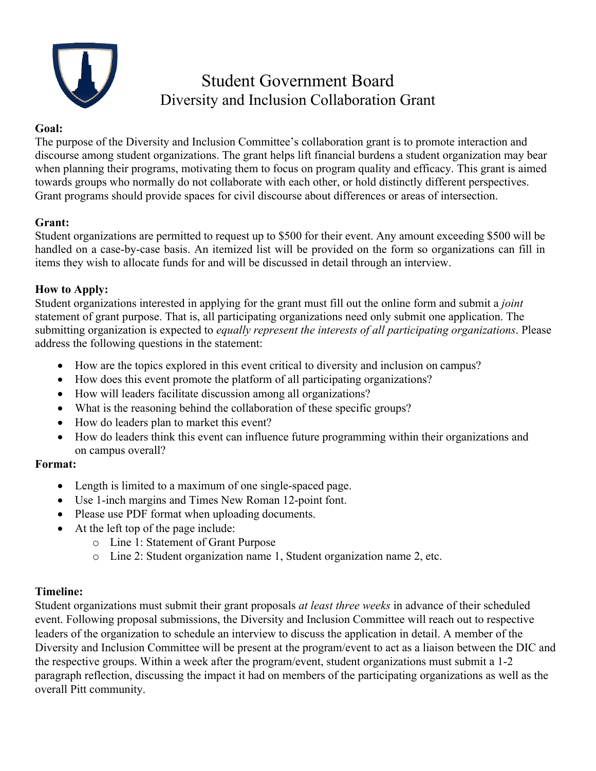

# Student Government Board Diversity and Inclusion Collaboration Grant

#### **Goal:**

The purpose of the Diversity and Inclusion Committee's collaboration grant is to promote interaction and discourse among student organizations. The grant helps lift financial burdens a student organization may bear when planning their programs, motivating them to focus on program quality and efficacy. This grant is aimed towards groups who normally do not collaborate with each other, or hold distinctly different perspectives. Grant programs should provide spaces for civil discourse about differences or areas of intersection.

# **Grant:**

Student organizations are permitted to request up to \$500 for their event. Any amount exceeding \$500 will be handled on a case-by-case basis. An itemized list will be provided on the form so organizations can fill in items they wish to allocate funds for and will be discussed in detail through an interview.

#### **How to Apply:**

Student organizations interested in applying for the grant must fill out the online form and submit a *joint*  statement of grant purpose. That is, all participating organizations need only submit one application. The submitting organization is expected to *equally represent the interests of all participating organizations*. Please address the following questions in the statement:

- How are the topics explored in this event critical to diversity and inclusion on campus?
- How does this event promote the platform of all participating organizations?
- How will leaders facilitate discussion among all organizations?
- What is the reasoning behind the collaboration of these specific groups?
- How do leaders plan to market this event?
- How do leaders think this event can influence future programming within their organizations and on campus overall?

#### **Format:**

- Length is limited to a maximum of one single-spaced page.
- Use 1-inch margins and Times New Roman 12-point font.
- Please use PDF format when uploading documents.
- At the left top of the page include:
	- o Line 1: Statement of Grant Purpose
	- o Line 2: Student organization name 1, Student organization name 2, etc.

# **Timeline:**

Student organizations must submit their grant proposals *at least three weeks* in advance of their scheduled event. Following proposal submissions, the Diversity and Inclusion Committee will reach out to respective leaders of the organization to schedule an interview to discuss the application in detail. A member of the Diversity and Inclusion Committee will be present at the program/event to act as a liaison between the DIC and the respective groups. Within a week after the program/event, student organizations must submit a 1-2 paragraph reflection, discussing the impact it had on members of the participating organizations as well as the overall Pitt community.